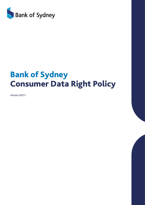

# Bank of Sydney Consumer Data Right Policy

Version 2021.1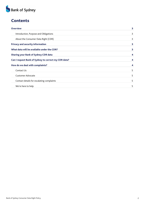

## **Contents**

| <b>Overview</b>                                      | 3                  |
|------------------------------------------------------|--------------------|
| Introduction, Purpose and Obligations                | 3                  |
| About the Consumer Data Right (CDR)                  | 3                  |
| <b>Privacy and security information</b>              | 3                  |
| What data will be available under the CDR?           | 3                  |
| <b>Sharing your Bank of Sydney CDR data</b>          | 4                  |
| Can I request Bank of Sydney to correct my CDR data? | $\overline{\bf 4}$ |
| How do we deal with complaints?                      | $\overline{\bf 4}$ |
| Contact Us                                           | 5                  |
| <b>Customer Advocate</b>                             | 5                  |
| Contact details for escalating complaints            | 5                  |
| We're here to help                                   | 5                  |
|                                                      |                    |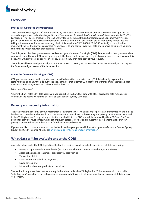

## <span id="page-2-0"></span>**Overview**

#### <span id="page-2-1"></span>Introduction, Purpose and Obligations

The Consumer Data Right (CDR) was introduced by the Australian Government to provide customers with rights to the data relating to them under the *Competition and Consumer Act 2010* and the *Competition and Consumer Rules 2020* (CDR Legislation). The Federal Treasury is the lead agency for CDR. The Australian Competition and Consumer Commission (ACCC) and Office of the Australian Information Commissioner (OAIC) are responsible for monitoring compliance and taking enforcement action where necessary. Bank of Sydney Ltd ACN 193 488 629 (BOS/the Bank) is committed to implement the CDR to provide consumers greater access to and control over their data and improve consumer's ability to compare and switch between products and services.

This Policy describes how you can access and correct your Consumer Data Right (CDR) data, as well as how you can make a complaint related to your CDR data. Upon request, the Bank is able to provide a physical copy and/or electronic copy of this Policy. We will provide you a copy of this Policy electronically or in hard copy at your request.

This Policy will be updated periodically. A recent version of this Policy will be available on our website and you can request the Bank to send you a copy of the latest version.

#### <span id="page-2-2"></span>About the Consumer Data Right (CDR)

CDR provides customers with rights to access specified data that relates to them (CDR data) held by organisations (data holders); and allow them to authorise the sharing of that external CDR data to other third parties (accredited data recipients). Bank of Sydney is a data holder under the CDR.

#### *What does this mean?*

Where the Bank holds CDR data about you, you can ask us to share that data with other accredited data recipients or yourself. In the policy, we refer to this data as your Bank of Sydney CDR data.

## <span id="page-2-3"></span>Privacy and security information

The privacy and the security of your information is important to us. The Bank aims to protect your information and aims to be clear and open about what we do with the information. We adhere to the security and privacy requirements mandated in the CDR legislation. Strong privacy protections are built into the CDR and will be enforced by the ACCC and OAIC. An accredited provider must comply with a set of privacy safeguards, rules and IT system requirements that ensure your privacy is protected and your data is transferred and managed securely.

If you would like to know more about how the Bank handles your personal information, please refer to the Bank of Sydney Privacy and Credit Reporting Policy at [banksyd.com.au/important-product-information.](https://www.banksyd.com.au/important-product-information)

## <span id="page-2-4"></span>What data will be available under the CDR?

As a data holder under the CDR legislation, the Bank is required to make available specific sets of data for sharing:

- Name, occupation and contact details (and if you are a business, information about your business);
- Account balance and features of products you hold with us;
- Transaction details;
- Direct debits and scheduled payments;
- Saved payees; and
- Information about our products and services.

The Bank will only share data that we are required to share under the CDR legislation. This means we will not provide 'voluntary data' (data that is not categorised as 'required data'). We will not share your Bank of Sydney CDR data unless you consent.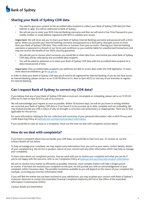

## <span id="page-3-0"></span>Sharing your Bank of Sydney CDR data

- You need to give your consent to the accredited data recipient to collect your Bank of Sydney CDR data (on their website or app). You will be redirected to Bank of Sydney;
- We will ask you to enter your BOS Internet Banking username and then we will send a One Time Password to your mobile number or email address registered with BOS to validate your access.

Important: We will never ask you to share your Bank of Sydney Internet Banking username and password with a third party. When you provide your Internet banking username and password to a third party, they gain access to more than your Bank of Sydney CDR data. They could view or transact from your accounts. Sharing your Internet banking username or password is a breach of our terms and conditions so you could be liable for unauthorised transactions and may not receive the benefit of our 100% security guarantee.

- We will ask you to choose which accounts you would like to share data from, and remind you what Bank of Sydney CDR data will be collected by the accredited data recipient;
- You will be asked to authorise us to share your Bank of Sydney CDR data with the accredited data recipient for a determined period of time.

Important: Only accredited data recipients you authorise are able to access data under the CDR legislation. To learn more about accreditation, go to [cdr.gov.au](http://cdr.gov.au)

In order to share your Bank of Sydney CDR data you'll need to be registered for Internet Banking. If you do not have access to Internet Banking, please contact us on 13 95 00 (Mon to Fri, 9am to 5pm AEST) or visit any of our branches to register for Internet Banking.

## <span id="page-3-1"></span>Can I request Bank of Sydney to correct my CDR data?

If you believe that any of your Bank of Sydney CDR data is incorrect, incomplete or misleading, please call us on 13 95 00 (Mon to Fri, 9am to 5pm AEST) to ask us to correct it.

We will acknowledge your request as soon as possible. Within 10 business days, we will let you know in writing whether we corrected your Bank of Sydney CDR data or if we found it to be accurate, up to date, complete and not misleading. We may instead provide you with a notice of why we thought a correction was unnecessary or inappropriate. There are no fees applicable for this service.

For more information relating to the use, collection and correction of your personal information, refer to BOS Privacy and Credit Reporting Policy at [banksyd.com.au/important-product-information](https://www.banksyd.com.au/important-product-information)

If you would like to raise an issue or a complaint, check out the How we deal with complaints section below.

## <span id="page-3-2"></span>How do we deal with complaints?

If you have a complaint about how we handle your CDR Data, we would like to hear from you. To contact us, use the contact details set out below.

To help us manage your complaint, we may require some information from you such as your name, contact details, details of your complaint (e.g. the service or product, nature of your concern and any other information which may help us manage your complaint).

To learn more about our complaints process, how we work with you to resolve your complaint and what you can do if you're not happy with the outcome, refer to our Complaints Policy at [banksyd.com.au/important-product-information](https://www.banksyd.com.au/important-product-information).

We aim to resolve every matter as efficiently as possible. However, more complex matters will take a longer period to resolve. If we have not resolved your complaint on the spot, we will provide you with an acknowledgement of your complaint within 5 business days. The possible resolutions available to you will depend on the nature of your complaint (for example, correcting any incorrect information held).

If you still feel the matter has not been resolved to your satisfaction, you may escalate your concern with Bank of Sydney's Customer Advocate or contact the Australian Financial Complaints Authority (AFCA) or the Office of the Australian Information Commissioner (OAIC).

Contact details are listed below.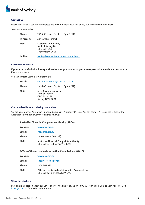

### <span id="page-4-0"></span>Contact Us

Please contact us if you have any questions or comments about this policy. We welcome your feedback.

You can contact us by:

| Phone:     | 13 95 00 (Mon - Fri, 9am - 5pm AEST)                                                 |
|------------|--------------------------------------------------------------------------------------|
| In Person: | At your local branch                                                                 |
| Mail:      | Customer Complaints,<br>Bank of Sydney Ltd<br><b>GPO Box 4288</b><br>Sydney NSW 2001 |
| Online:    | banksyd.com.au/compliments-complaints                                                |

#### <span id="page-4-1"></span>Customer Advocate

If you are unsatisfied with the way we have handled your complaint, you may request an independent review from our Customer Advocate.

You can contact Customer Advocate by:

| Email:        | customeradvocate@banksyd.com.au                                                      |
|---------------|--------------------------------------------------------------------------------------|
| <b>Phone:</b> | 13 95 00 (Mon - Fri, 9am - 5pm AEST)                                                 |
| Mail:         | Attn: Customer Advocate,<br>Bank of Sydney<br><b>GPO Box 4288</b><br>Sydney NSW 2001 |

#### <span id="page-4-2"></span>Contact details for escalating complaints

We are a member of Australian Financial Complaints Authority (AFCA). You can contact AFCA or the Office of the Australian Information Commissioner as follows:

#### Australian Financial Complaints Authority (AFCA)

| Website: | www.afca.org.au                                                              |
|----------|------------------------------------------------------------------------------|
| Email:   | info@afca.org.au                                                             |
| Phone:   | 1800 931 678 (free call)                                                     |
| Mail:    | Australian Financial Complaints Authority,<br>GPO Box 3, Melbourne, VIC 3001 |

## Office of the Australian Information Commissioner (OAIC)

| Website: | www.oaic.gov.au                                                                     |
|----------|-------------------------------------------------------------------------------------|
| Email:   | enquiries@oaic.gov.au                                                               |
| Phone:   | 1300 363 992                                                                        |
| Mail:    | Office of the Australian Information Commissioner<br>GPO Box 5218, Sydney, NSW 2001 |

#### We're here to help

If you have a question about our CDR Policy or need help, call us on 13 95 00 (Mon to Fri, 9am to 5pm AEST) or visit [banksyd.com.au](https://www.banksyd.com.au) for further information.